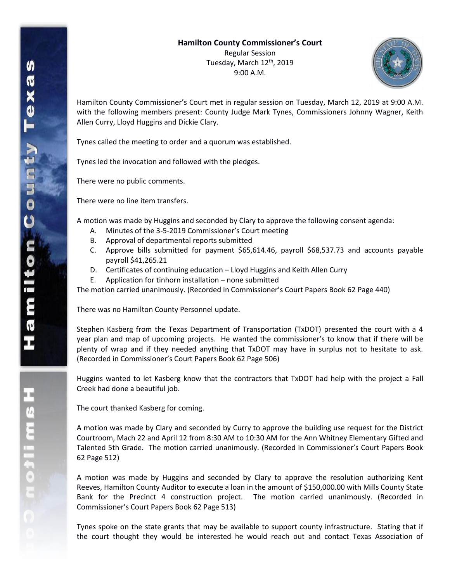

Hamilton County Commissioner's Court met in regular session on Tuesday, March 12, 2019 at 9:00 A.M. with the following members present: County Judge Mark Tynes, Commissioners Johnny Wagner, Keith Allen Curry, Lloyd Huggins and Dickie Clary.

Tynes called the meeting to order and a quorum was established.

Tynes led the invocation and followed with the pledges.

There were no public comments.

There were no line item transfers.

A motion was made by Huggins and seconded by Clary to approve the following consent agenda:

- A. Minutes of the 3-5-2019 Commissioner's Court meeting
- B. Approval of departmental reports submitted
- C. Approve bills submitted for payment \$65,614.46, payroll \$68,537.73 and accounts payable payroll \$41,265.21
- D. Certificates of continuing education Lloyd Huggins and Keith Allen Curry
- E. Application for tinhorn installation none submitted

The motion carried unanimously. (Recorded in Commissioner's Court Papers Book 62 Page 440)

There was no Hamilton County Personnel update.

Stephen Kasberg from the Texas Department of Transportation (TxDOT) presented the court with a 4 year plan and map of upcoming projects. He wanted the commissioner's to know that if there will be plenty of wrap and if they needed anything that TxDOT may have in surplus not to hesitate to ask. (Recorded in Commissioner's Court Papers Book 62 Page 506)

Huggins wanted to let Kasberg know that the contractors that TxDOT had help with the project a Fall Creek had done a beautiful job.

The court thanked Kasberg for coming.

A motion was made by Clary and seconded by Curry to approve the building use request for the District Courtroom, Mach 22 and April 12 from 8:30 AM to 10:30 AM for the Ann Whitney Elementary Gifted and Talented 5th Grade. The motion carried unanimously. (Recorded in Commissioner's Court Papers Book 62 Page 512)

A motion was made by Huggins and seconded by Clary to approve the resolution authorizing Kent Reeves, Hamilton County Auditor to execute a loan in the amount of \$150,000.00 with Mills County State Bank for the Precinct 4 construction project. The motion carried unanimously. (Recorded in Commissioner's Court Papers Book 62 Page 513)

Tynes spoke on the state grants that may be available to support county infrastructure. Stating that if the court thought they would be interested he would reach out and contact Texas Association of